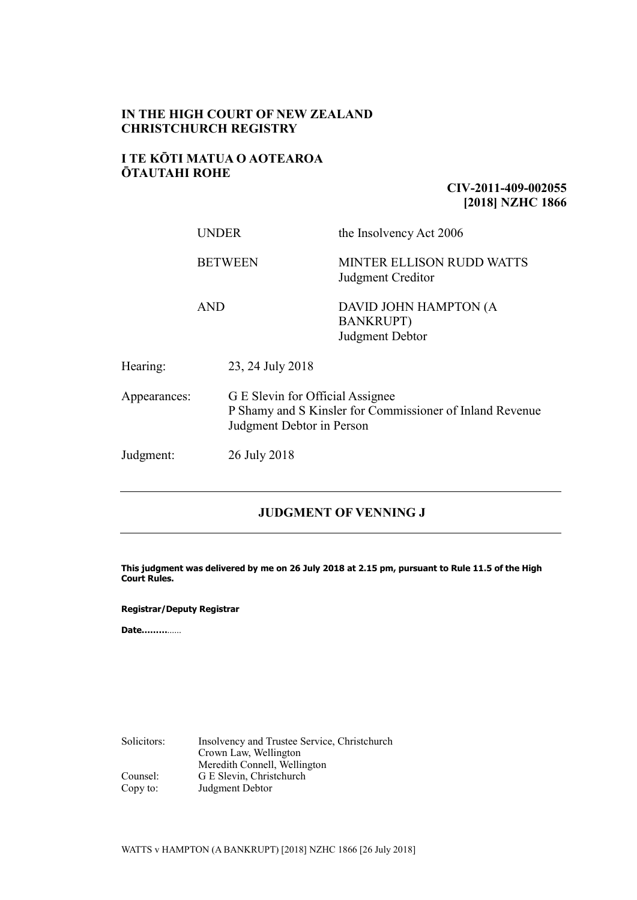#### **IN THE HIGH COURT OF NEW ZEALAND CHRISTCHURCH REGISTRY**

#### **I TE KŌTI MATUA O AOTEAROA ŌTAUTAHI ROHE**

### **CIV-2011-409-002055 [2018] NZHC 1866**

|              | UNDER          |                                                                                                                           | the Insolvency Act 2006                                      |  |
|--------------|----------------|---------------------------------------------------------------------------------------------------------------------------|--------------------------------------------------------------|--|
|              | <b>BETWEEN</b> |                                                                                                                           | <b>MINTER ELLISON RUDD WATTS</b><br>Judgment Creditor        |  |
|              | <b>AND</b>     |                                                                                                                           | DAVID JOHN HAMPTON (A<br><b>BANKRUPT)</b><br>Judgment Debtor |  |
| Hearing:     |                | 23, 24 July 2018                                                                                                          |                                                              |  |
| Appearances: |                | G E Slevin for Official Assignee<br>P Shamy and S Kinsler for Commissioner of Inland Revenue<br>Judgment Debtor in Person |                                                              |  |
| Judgment:    |                | 26 July 2018                                                                                                              |                                                              |  |

## **JUDGMENT OF VENNING J**

**This judgment was delivered by me on 26 July 2018 at 2.15 pm, pursuant to Rule 11.5 of the High Court Rules.**

#### **Registrar/Deputy Registrar**

**Date………**……

Solicitors: Insolvency and Trustee Service, Christchurch Crown Law, Wellington Meredith Connell, Wellington Counsel: G E Slevin, Christchurch Copy to: Judgment Debtor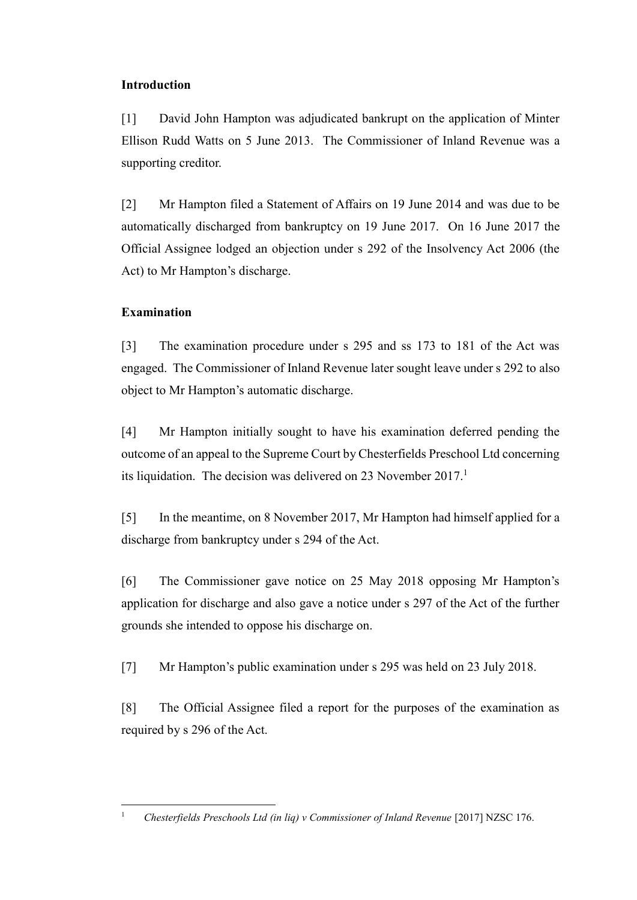# **Introduction**

[1] David John Hampton was adjudicated bankrupt on the application of Minter Ellison Rudd Watts on 5 June 2013. The Commissioner of Inland Revenue was a supporting creditor.

[2] Mr Hampton filed a Statement of Affairs on 19 June 2014 and was due to be automatically discharged from bankruptcy on 19 June 2017. On 16 June 2017 the Official Assignee lodged an objection under s 292 of the Insolvency Act 2006 (the Act) to Mr Hampton's discharge.

# **Examination**

[3] The examination procedure under s 295 and ss 173 to 181 of the Act was engaged. The Commissioner of Inland Revenue later sought leave under s 292 to also object to Mr Hampton's automatic discharge.

[4] Mr Hampton initially sought to have his examination deferred pending the outcome of an appeal to the Supreme Court by Chesterfields Preschool Ltd concerning its liquidation. The decision was delivered on 23 November 2017.<sup>1</sup>

[5] In the meantime, on 8 November 2017, Mr Hampton had himself applied for a discharge from bankruptcy under s 294 of the Act.

[6] The Commissioner gave notice on 25 May 2018 opposing Mr Hampton's application for discharge and also gave a notice under s 297 of the Act of the further grounds she intended to oppose his discharge on.

[7] Mr Hampton's public examination under s 295 was held on 23 July 2018.

[8] The Official Assignee filed a report for the purposes of the examination as required by s 296 of the Act.

<sup>&</sup>lt;sup>1</sup> *Chesterfields Preschools Ltd (in lig) v Commissioner of Inland Revenue* [2017] NZSC 176.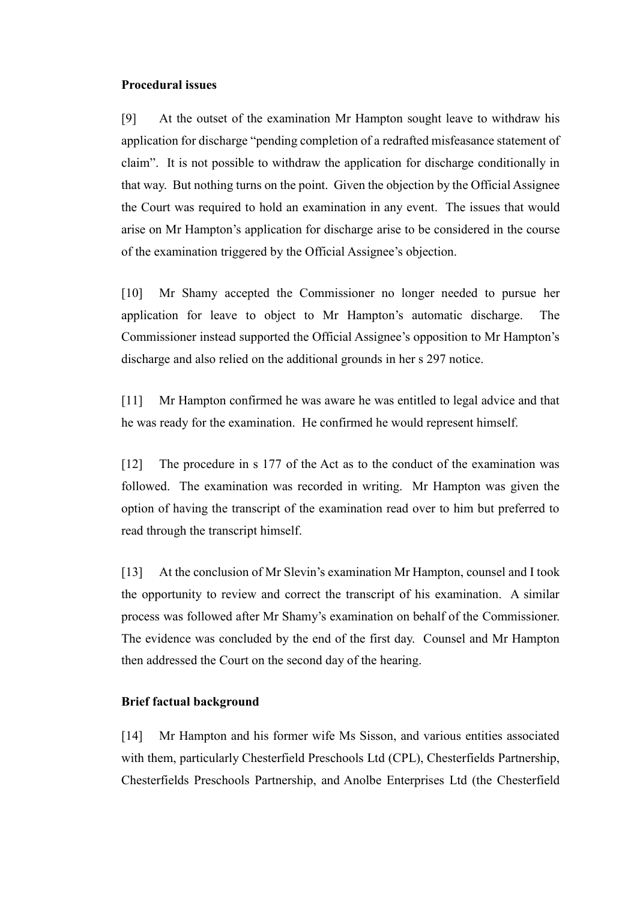#### **Procedural issues**

[9] At the outset of the examination Mr Hampton sought leave to withdraw his application for discharge "pending completion of a redrafted misfeasance statement of claim". It is not possible to withdraw the application for discharge conditionally in that way. But nothing turns on the point. Given the objection by the Official Assignee the Court was required to hold an examination in any event. The issues that would arise on Mr Hampton's application for discharge arise to be considered in the course of the examination triggered by the Official Assignee's objection.

[10] Mr Shamy accepted the Commissioner no longer needed to pursue her application for leave to object to Mr Hampton's automatic discharge. The Commissioner instead supported the Official Assignee's opposition to Mr Hampton's discharge and also relied on the additional grounds in her s 297 notice.

[11] Mr Hampton confirmed he was aware he was entitled to legal advice and that he was ready for the examination. He confirmed he would represent himself.

[12] The procedure in s 177 of the Act as to the conduct of the examination was followed. The examination was recorded in writing. Mr Hampton was given the option of having the transcript of the examination read over to him but preferred to read through the transcript himself.

[13] At the conclusion of Mr Slevin's examination Mr Hampton, counsel and I took the opportunity to review and correct the transcript of his examination. A similar process was followed after Mr Shamy's examination on behalf of the Commissioner. The evidence was concluded by the end of the first day. Counsel and Mr Hampton then addressed the Court on the second day of the hearing.

#### **Brief factual background**

[14] Mr Hampton and his former wife Ms Sisson, and various entities associated with them, particularly Chesterfield Preschools Ltd (CPL), Chesterfields Partnership, Chesterfields Preschools Partnership, and Anolbe Enterprises Ltd (the Chesterfield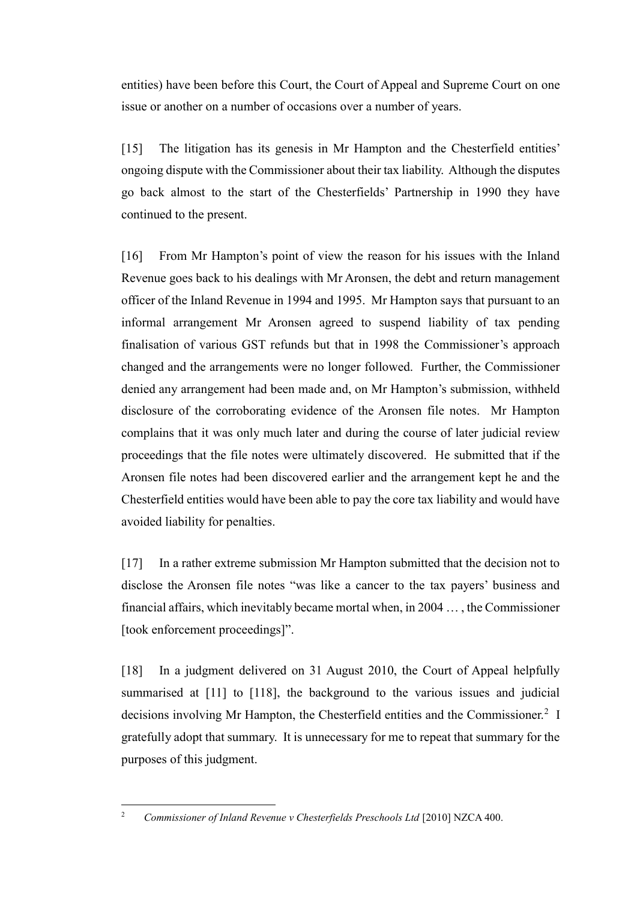entities) have been before this Court, the Court of Appeal and Supreme Court on one issue or another on a number of occasions over a number of years.

[15] The litigation has its genesis in Mr Hampton and the Chesterfield entities' ongoing dispute with the Commissioner about their tax liability. Although the disputes go back almost to the start of the Chesterfields' Partnership in 1990 they have continued to the present.

[16] From Mr Hampton's point of view the reason for his issues with the Inland Revenue goes back to his dealings with Mr Aronsen, the debt and return management officer of the Inland Revenue in 1994 and 1995. Mr Hampton says that pursuant to an informal arrangement Mr Aronsen agreed to suspend liability of tax pending finalisation of various GST refunds but that in 1998 the Commissioner's approach changed and the arrangements were no longer followed. Further, the Commissioner denied any arrangement had been made and, on Mr Hampton's submission, withheld disclosure of the corroborating evidence of the Aronsen file notes. Mr Hampton complains that it was only much later and during the course of later judicial review proceedings that the file notes were ultimately discovered. He submitted that if the Aronsen file notes had been discovered earlier and the arrangement kept he and the Chesterfield entities would have been able to pay the core tax liability and would have avoided liability for penalties.

[17] In a rather extreme submission Mr Hampton submitted that the decision not to disclose the Aronsen file notes "was like a cancer to the tax payers' business and financial affairs, which inevitably became mortal when, in 2004 … , the Commissioner [took enforcement proceedings]".

[18] In a judgment delivered on 31 August 2010, the Court of Appeal helpfully summarised at [11] to [118], the background to the various issues and judicial decisions involving Mr Hampton, the Chesterfield entities and the Commissioner.<sup>2</sup> I gratefully adopt that summary. It is unnecessary for me to repeat that summary for the purposes of this judgment.

 $\overline{a}$ <sup>2</sup> *Commissioner of Inland Revenue v Chesterfields Preschools Ltd* [2010] NZCA 400.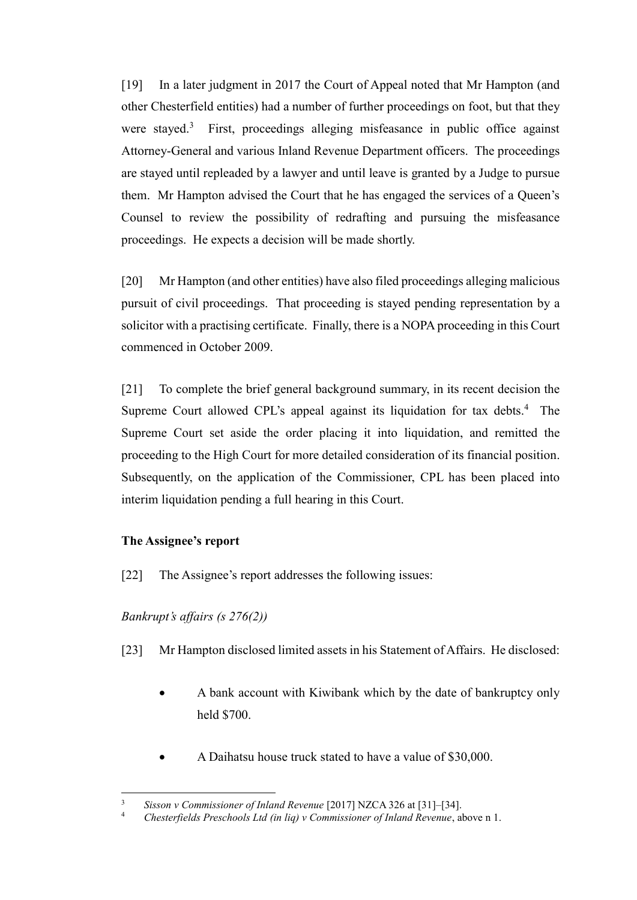[19] In a later judgment in 2017 the Court of Appeal noted that Mr Hampton (and other Chesterfield entities) had a number of further proceedings on foot, but that they were stayed.<sup>3</sup> First, proceedings alleging misfeasance in public office against Attorney-General and various Inland Revenue Department officers. The proceedings are stayed until repleaded by a lawyer and until leave is granted by a Judge to pursue them. Mr Hampton advised the Court that he has engaged the services of a Queen's Counsel to review the possibility of redrafting and pursuing the misfeasance proceedings. He expects a decision will be made shortly.

[20] Mr Hampton (and other entities) have also filed proceedings alleging malicious pursuit of civil proceedings. That proceeding is stayed pending representation by a solicitor with a practising certificate. Finally, there is a NOPA proceeding in this Court commenced in October 2009.

[21] To complete the brief general background summary, in its recent decision the Supreme Court allowed CPL's appeal against its liquidation for tax debts.<sup>4</sup> The Supreme Court set aside the order placing it into liquidation, and remitted the proceeding to the High Court for more detailed consideration of its financial position. Subsequently, on the application of the Commissioner, CPL has been placed into interim liquidation pending a full hearing in this Court.

### **The Assignee's report**

[22] The Assignee's report addresses the following issues:

# *Bankrupt's affairs (s 276(2))*

- [23] Mr Hampton disclosed limited assets in his Statement of Affairs. He disclosed:
	- A bank account with Kiwibank which by the date of bankruptcy only held \$700.
	- A Daihatsu house truck stated to have a value of \$30,000.

 $\overline{a}$ <sup>3</sup> *Sisson v Commissioner of Inland Revenue* [2017] NZCA 326 at [31]–[34].

<sup>4</sup> *Chesterfields Preschools Ltd (in liq) v Commissioner of Inland Revenue*, above n 1.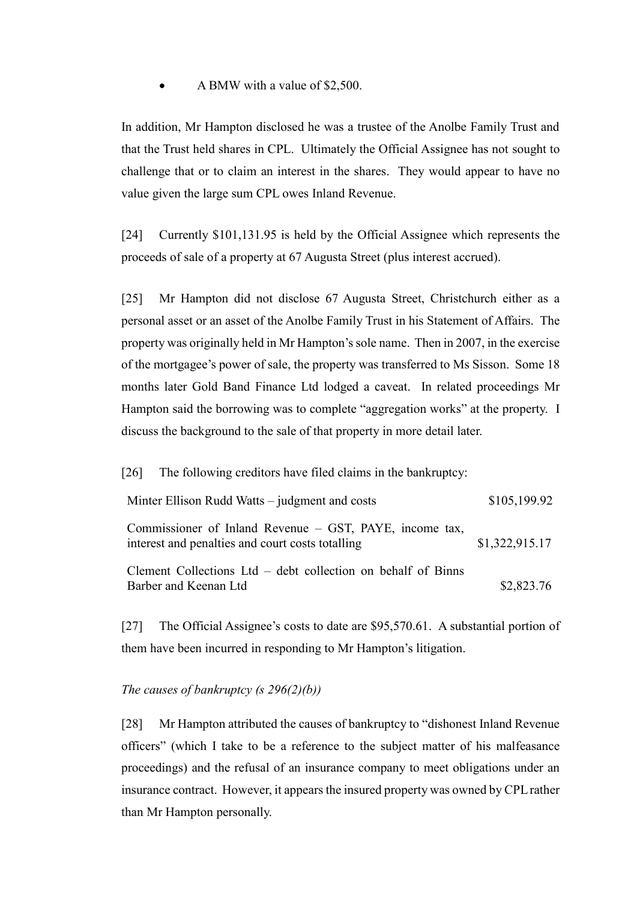### • A BMW with a value of \$2,500.

In addition, Mr Hampton disclosed he was a trustee of the Anolbe Family Trust and that the Trust held shares in CPL. Ultimately the Official Assignee has not sought to challenge that or to claim an interest in the shares. They would appear to have no value given the large sum CPL owes Inland Revenue.

[24] Currently \$101,131.95 is held by the Official Assignee which represents the proceeds of sale of a property at 67 Augusta Street (plus interest accrued).

[25] Mr Hampton did not disclose 67 Augusta Street, Christchurch either as a personal asset or an asset of the Anolbe Family Trust in his Statement of Affairs. The property was originally held in Mr Hampton's sole name. Then in 2007, in the exercise of the mortgagee's power of sale, the property was transferred to Ms Sisson. Some 18 months later Gold Band Finance Ltd lodged a caveat. In related proceedings Mr Hampton said the borrowing was to complete "aggregation works" at the property. I discuss the background to the sale of that property in more detail later.

| The following creditors have filed claims in the bankruptcy:<br>[26]                                        |                |
|-------------------------------------------------------------------------------------------------------------|----------------|
| Minter Ellison Rudd Watts – judgment and costs                                                              | \$105,199.92   |
| Commissioner of Inland Revenue – GST, PAYE, income tax,<br>interest and penalties and court costs totalling | \$1,322,915.17 |
| Clement Collections Ltd – debt collection on behalf of Binns<br>Barber and Keenan Ltd                       | \$2,823.76     |

[27] The Official Assignee's costs to date are \$95,570.61. A substantial portion of them have been incurred in responding to Mr Hampton's litigation.

### *The causes of bankruptcy (s 296(2)(b))*

[28] Mr Hampton attributed the causes of bankruptcy to "dishonest Inland Revenue officers" (which I take to be a reference to the subject matter of his malfeasance proceedings) and the refusal of an insurance company to meet obligations under an insurance contract. However, it appears the insured property was owned by CPL rather than Mr Hampton personally.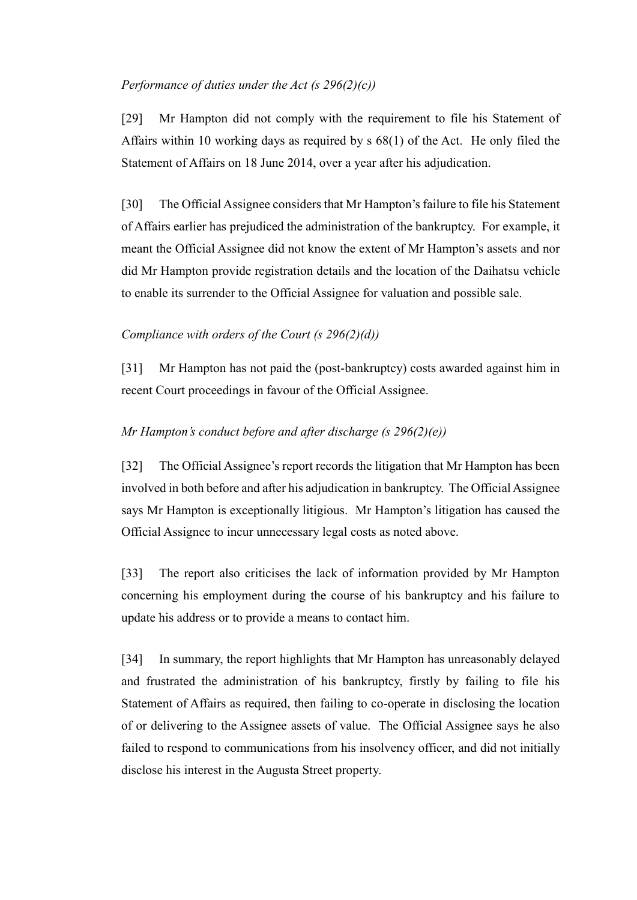### *Performance of duties under the Act (s 296(2)(c))*

[29] Mr Hampton did not comply with the requirement to file his Statement of Affairs within 10 working days as required by s 68(1) of the Act. He only filed the Statement of Affairs on 18 June 2014, over a year after his adjudication.

[30] The Official Assignee considers that Mr Hampton's failure to file his Statement of Affairs earlier has prejudiced the administration of the bankruptcy. For example, it meant the Official Assignee did not know the extent of Mr Hampton's assets and nor did Mr Hampton provide registration details and the location of the Daihatsu vehicle to enable its surrender to the Official Assignee for valuation and possible sale.

### *Compliance with orders of the Court (s 296(2)(d))*

[31] Mr Hampton has not paid the (post-bankruptcy) costs awarded against him in recent Court proceedings in favour of the Official Assignee.

### *Mr Hampton's conduct before and after discharge (s 296(2)(e))*

[32] The Official Assignee's report records the litigation that Mr Hampton has been involved in both before and after his adjudication in bankruptcy. The Official Assignee says Mr Hampton is exceptionally litigious. Mr Hampton's litigation has caused the Official Assignee to incur unnecessary legal costs as noted above.

[33] The report also criticises the lack of information provided by Mr Hampton concerning his employment during the course of his bankruptcy and his failure to update his address or to provide a means to contact him.

[34] In summary, the report highlights that Mr Hampton has unreasonably delayed and frustrated the administration of his bankruptcy, firstly by failing to file his Statement of Affairs as required, then failing to co-operate in disclosing the location of or delivering to the Assignee assets of value. The Official Assignee says he also failed to respond to communications from his insolvency officer, and did not initially disclose his interest in the Augusta Street property.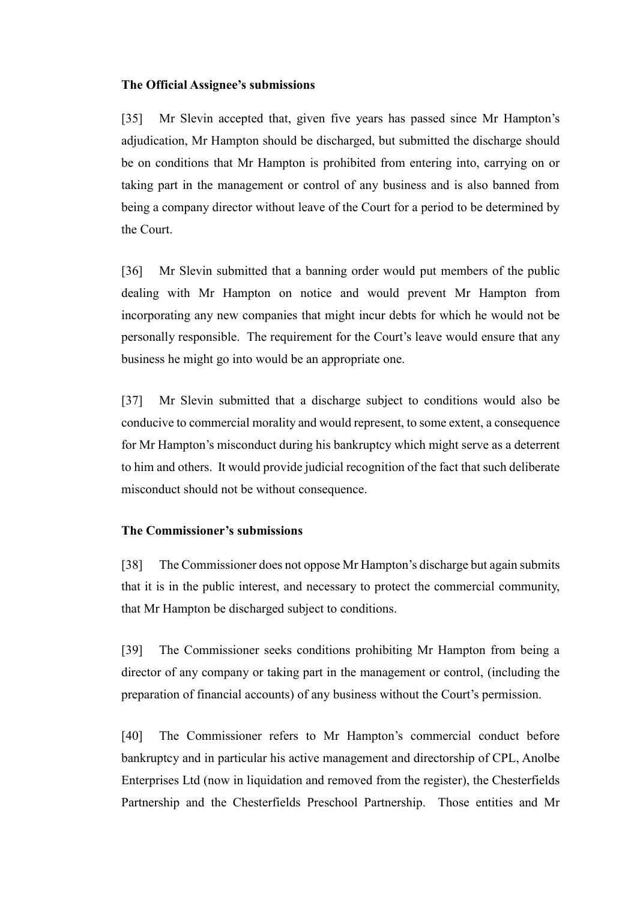#### **The Official Assignee's submissions**

[35] Mr Slevin accepted that, given five years has passed since Mr Hampton's adjudication, Mr Hampton should be discharged, but submitted the discharge should be on conditions that Mr Hampton is prohibited from entering into, carrying on or taking part in the management or control of any business and is also banned from being a company director without leave of the Court for a period to be determined by the Court.

[36] Mr Slevin submitted that a banning order would put members of the public dealing with Mr Hampton on notice and would prevent Mr Hampton from incorporating any new companies that might incur debts for which he would not be personally responsible. The requirement for the Court's leave would ensure that any business he might go into would be an appropriate one.

[37] Mr Slevin submitted that a discharge subject to conditions would also be conducive to commercial morality and would represent, to some extent, a consequence for Mr Hampton's misconduct during his bankruptcy which might serve as a deterrent to him and others. It would provide judicial recognition of the fact that such deliberate misconduct should not be without consequence.

#### **The Commissioner's submissions**

[38] The Commissioner does not oppose Mr Hampton's discharge but again submits that it is in the public interest, and necessary to protect the commercial community, that Mr Hampton be discharged subject to conditions.

[39] The Commissioner seeks conditions prohibiting Mr Hampton from being a director of any company or taking part in the management or control, (including the preparation of financial accounts) of any business without the Court's permission.

[40] The Commissioner refers to Mr Hampton's commercial conduct before bankruptcy and in particular his active management and directorship of CPL, Anolbe Enterprises Ltd (now in liquidation and removed from the register), the Chesterfields Partnership and the Chesterfields Preschool Partnership. Those entities and Mr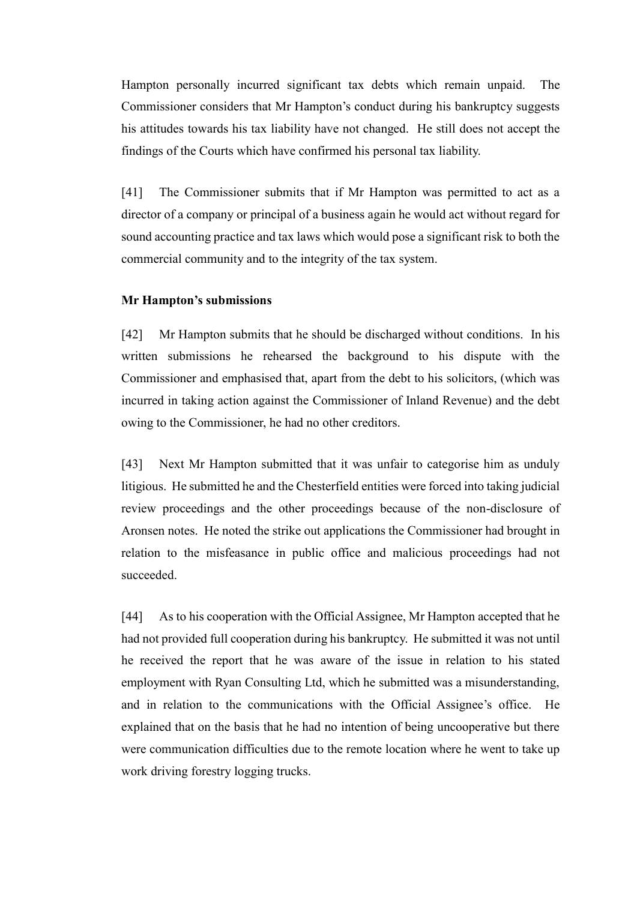Hampton personally incurred significant tax debts which remain unpaid. The Commissioner considers that Mr Hampton's conduct during his bankruptcy suggests his attitudes towards his tax liability have not changed. He still does not accept the findings of the Courts which have confirmed his personal tax liability.

[41] The Commissioner submits that if Mr Hampton was permitted to act as a director of a company or principal of a business again he would act without regard for sound accounting practice and tax laws which would pose a significant risk to both the commercial community and to the integrity of the tax system.

#### **Mr Hampton's submissions**

[42] Mr Hampton submits that he should be discharged without conditions. In his written submissions he rehearsed the background to his dispute with the Commissioner and emphasised that, apart from the debt to his solicitors, (which was incurred in taking action against the Commissioner of Inland Revenue) and the debt owing to the Commissioner, he had no other creditors.

[43] Next Mr Hampton submitted that it was unfair to categorise him as unduly litigious. He submitted he and the Chesterfield entities were forced into taking judicial review proceedings and the other proceedings because of the non-disclosure of Aronsen notes. He noted the strike out applications the Commissioner had brought in relation to the misfeasance in public office and malicious proceedings had not succeeded.

[44] As to his cooperation with the Official Assignee, Mr Hampton accepted that he had not provided full cooperation during his bankruptcy. He submitted it was not until he received the report that he was aware of the issue in relation to his stated employment with Ryan Consulting Ltd, which he submitted was a misunderstanding, and in relation to the communications with the Official Assignee's office. He explained that on the basis that he had no intention of being uncooperative but there were communication difficulties due to the remote location where he went to take up work driving forestry logging trucks.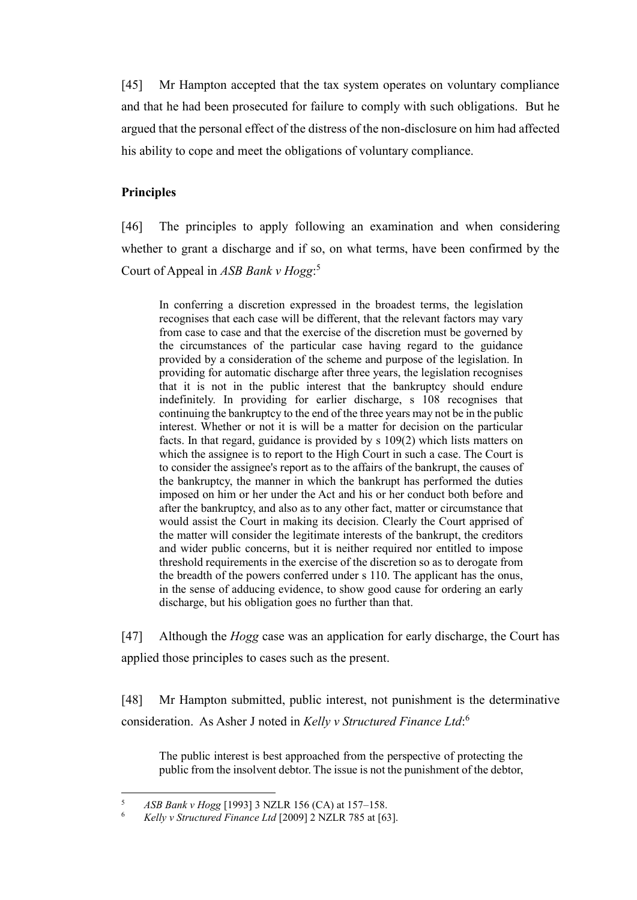[45] Mr Hampton accepted that the tax system operates on voluntary compliance and that he had been prosecuted for failure to comply with such obligations. But he argued that the personal effect of the distress of the non-disclosure on him had affected his ability to cope and meet the obligations of voluntary compliance.

### **Principles**

[46] The principles to apply following an examination and when considering whether to grant a discharge and if so, on what terms, have been confirmed by the Court of Appeal in *ASB Bank v Hogg*: 5

In conferring a discretion expressed in the broadest terms, the legislation recognises that each case will be different, that the relevant factors may vary from case to case and that the exercise of the discretion must be governed by the circumstances of the particular case having regard to the guidance provided by a consideration of the scheme and purpose of the legislation. In providing for automatic discharge after three years, the legislation recognises that it is not in the public interest that the bankruptcy should endure indefinitely. In providing for earlier discharge, s 108 recognises that continuing the bankruptcy to the end of the three years may not be in the public interest. Whether or not it is will be a matter for decision on the particular facts. In that regard, guidance is provided by s 109(2) which lists matters on which the assignee is to report to the High Court in such a case. The Court is to consider the assignee's report as to the affairs of the bankrupt, the causes of the bankruptcy, the manner in which the bankrupt has performed the duties imposed on him or her under the Act and his or her conduct both before and after the bankruptcy, and also as to any other fact, matter or circumstance that would assist the Court in making its decision. Clearly the Court apprised of the matter will consider the legitimate interests of the bankrupt, the creditors and wider public concerns, but it is neither required nor entitled to impose threshold requirements in the exercise of the discretion so as to derogate from the breadth of the powers conferred under s 110. The applicant has the onus, in the sense of adducing evidence, to show good cause for ordering an early discharge, but his obligation goes no further than that.

[47] Although the *Hogg* case was an application for early discharge, the Court has applied those principles to cases such as the present.

[48] Mr Hampton submitted, public interest, not punishment is the determinative consideration. As Asher J noted in *Kelly v Structured Finance Ltd*: 6

The public interest is best approached from the perspective of protecting the public from the insolvent debtor. The issue is not the punishment of the debtor,

 $\overline{5}$ <sup>5</sup> *ASB Bank v Hogg* [1993] 3 NZLR 156 (CA) at 157–158.

<sup>6</sup> *Kelly v Structured Finance Ltd* [2009] 2 NZLR 785 at [63].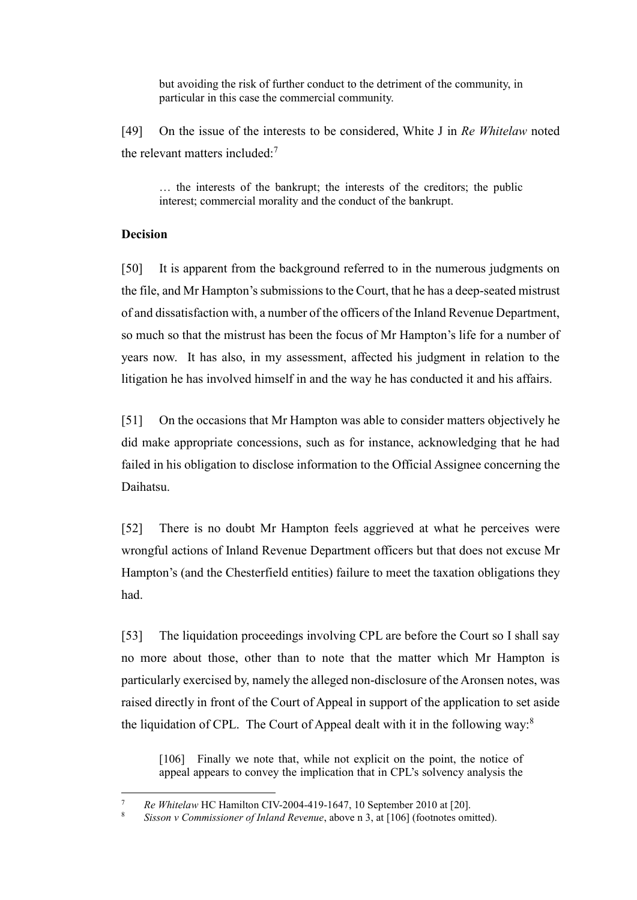but avoiding the risk of further conduct to the detriment of the community, in particular in this case the commercial community.

[49] On the issue of the interests to be considered, White J in *Re Whitelaw* noted the relevant matters included: $<sup>7</sup>$ </sup>

… the interests of the bankrupt; the interests of the creditors; the public interest; commercial morality and the conduct of the bankrupt.

#### **Decision**

 $\overline{a}$ 

[50] It is apparent from the background referred to in the numerous judgments on the file, and Mr Hampton's submissions to the Court, that he has a deep-seated mistrust of and dissatisfaction with, a number of the officers of the Inland Revenue Department, so much so that the mistrust has been the focus of Mr Hampton's life for a number of years now. It has also, in my assessment, affected his judgment in relation to the litigation he has involved himself in and the way he has conducted it and his affairs.

[51] On the occasions that Mr Hampton was able to consider matters objectively he did make appropriate concessions, such as for instance, acknowledging that he had failed in his obligation to disclose information to the Official Assignee concerning the Daihatsu.

[52] There is no doubt Mr Hampton feels aggrieved at what he perceives were wrongful actions of Inland Revenue Department officers but that does not excuse Mr Hampton's (and the Chesterfield entities) failure to meet the taxation obligations they had.

[53] The liquidation proceedings involving CPL are before the Court so I shall say no more about those, other than to note that the matter which Mr Hampton is particularly exercised by, namely the alleged non-disclosure of the Aronsen notes, was raised directly in front of the Court of Appeal in support of the application to set aside the liquidation of CPL. The Court of Appeal dealt with it in the following way:<sup>8</sup>

[106] Finally we note that, while not explicit on the point, the notice of appeal appears to convey the implication that in CPL's solvency analysis the

<sup>7</sup> *Re Whitelaw* HC Hamilton CIV-2004-419-1647, 10 September 2010 at [20].

<sup>8</sup> *Sisson v Commissioner of Inland Revenue*, above n 3, at [106] (footnotes omitted).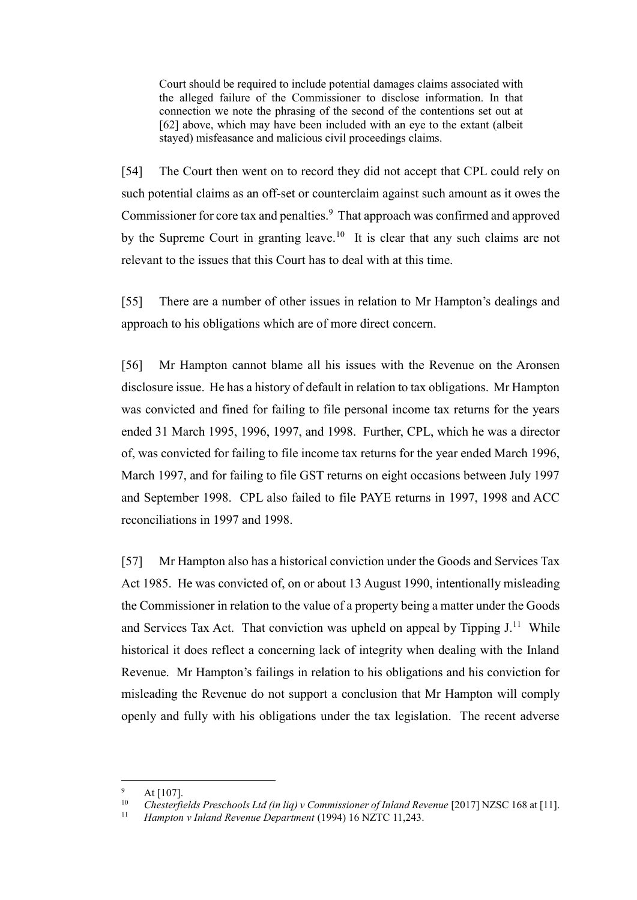Court should be required to include potential damages claims associated with the alleged failure of the Commissioner to disclose information. In that connection we note the phrasing of the second of the contentions set out at [62] above, which may have been included with an eye to the extant (albeit stayed) misfeasance and malicious civil proceedings claims.

[54] The Court then went on to record they did not accept that CPL could rely on such potential claims as an off-set or counterclaim against such amount as it owes the Commissioner for core tax and penalties.<sup>9</sup> That approach was confirmed and approved by the Supreme Court in granting leave.<sup>10</sup> It is clear that any such claims are not relevant to the issues that this Court has to deal with at this time.

[55] There are a number of other issues in relation to Mr Hampton's dealings and approach to his obligations which are of more direct concern.

[56] Mr Hampton cannot blame all his issues with the Revenue on the Aronsen disclosure issue. He has a history of default in relation to tax obligations. Mr Hampton was convicted and fined for failing to file personal income tax returns for the years ended 31 March 1995, 1996, 1997, and 1998. Further, CPL, which he was a director of, was convicted for failing to file income tax returns for the year ended March 1996, March 1997, and for failing to file GST returns on eight occasions between July 1997 and September 1998. CPL also failed to file PAYE returns in 1997, 1998 and ACC reconciliations in 1997 and 1998.

[57] Mr Hampton also has a historical conviction under the Goods and Services Tax Act 1985. He was convicted of, on or about 13 August 1990, intentionally misleading the Commissioner in relation to the value of a property being a matter under the Goods and Services Tax Act. That conviction was upheld on appeal by Tipping  $J<sup>11</sup>$  While historical it does reflect a concerning lack of integrity when dealing with the Inland Revenue. Mr Hampton's failings in relation to his obligations and his conviction for misleading the Revenue do not support a conclusion that Mr Hampton will comply openly and fully with his obligations under the tax legislation. The recent adverse

 $^{9}$  At [107].

<sup>&</sup>lt;sup>10</sup> Chesterfields Preschools Ltd (in liq) v Commissioner of Inland Revenue [2017] NZSC 168 at [11].<br><sup>11</sup> Hampton v Inland Revenue Department (1994) 16 NZTC 11 243

<sup>11</sup> *Hampton v Inland Revenue Department* (1994) 16 NZTC 11,243.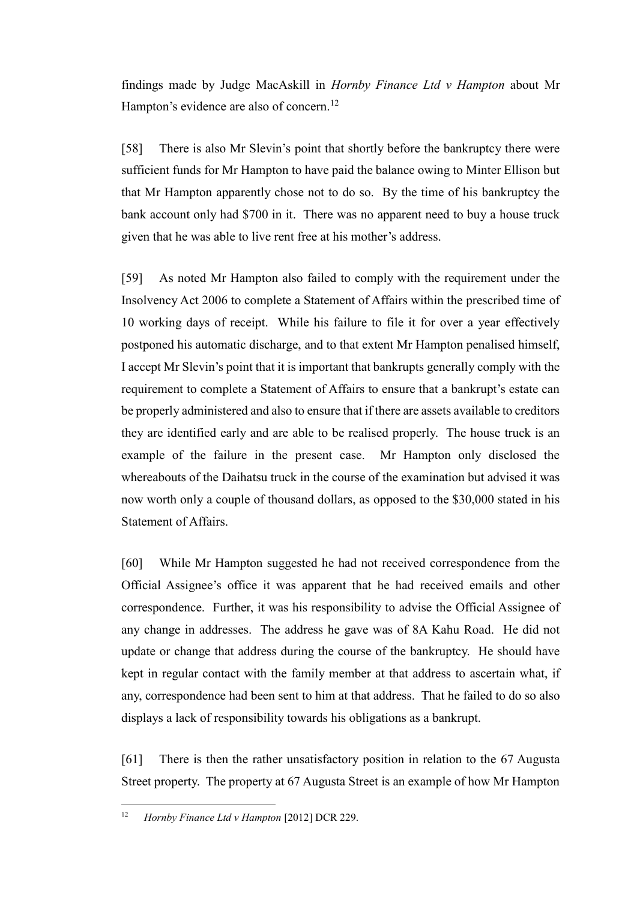findings made by Judge MacAskill in *Hornby Finance Ltd v Hampton* about Mr Hampton's evidence are also of concern.<sup>12</sup>

[58] There is also Mr Slevin's point that shortly before the bankruptcy there were sufficient funds for Mr Hampton to have paid the balance owing to Minter Ellison but that Mr Hampton apparently chose not to do so. By the time of his bankruptcy the bank account only had \$700 in it. There was no apparent need to buy a house truck given that he was able to live rent free at his mother's address.

[59] As noted Mr Hampton also failed to comply with the requirement under the Insolvency Act 2006 to complete a Statement of Affairs within the prescribed time of 10 working days of receipt. While his failure to file it for over a year effectively postponed his automatic discharge, and to that extent Mr Hampton penalised himself, I accept Mr Slevin's point that it is important that bankrupts generally comply with the requirement to complete a Statement of Affairs to ensure that a bankrupt's estate can be properly administered and also to ensure that if there are assets available to creditors they are identified early and are able to be realised properly. The house truck is an example of the failure in the present case. Mr Hampton only disclosed the whereabouts of the Daihatsu truck in the course of the examination but advised it was now worth only a couple of thousand dollars, as opposed to the \$30,000 stated in his Statement of Affairs.

[60] While Mr Hampton suggested he had not received correspondence from the Official Assignee's office it was apparent that he had received emails and other correspondence. Further, it was his responsibility to advise the Official Assignee of any change in addresses. The address he gave was of 8A Kahu Road. He did not update or change that address during the course of the bankruptcy. He should have kept in regular contact with the family member at that address to ascertain what, if any, correspondence had been sent to him at that address. That he failed to do so also displays a lack of responsibility towards his obligations as a bankrupt.

[61] There is then the rather unsatisfactory position in relation to the 67 Augusta Street property. The property at 67 Augusta Street is an example of how Mr Hampton

<sup>12</sup> *Hornby Finance Ltd v Hampton* [2012] DCR 229.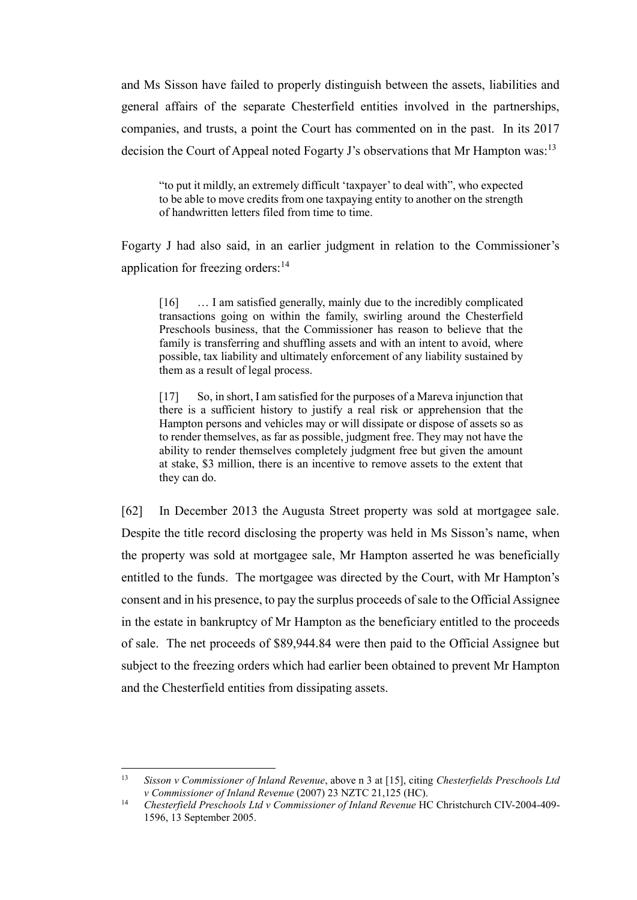and Ms Sisson have failed to properly distinguish between the assets, liabilities and general affairs of the separate Chesterfield entities involved in the partnerships, companies, and trusts, a point the Court has commented on in the past. In its 2017 decision the Court of Appeal noted Fogarty J's observations that Mr Hampton was:<sup>13</sup>

"to put it mildly, an extremely difficult 'taxpayer' to deal with", who expected to be able to move credits from one taxpaying entity to another on the strength of handwritten letters filed from time to time.

Fogarty J had also said, in an earlier judgment in relation to the Commissioner's application for freezing orders: $14$ 

[16] ... I am satisfied generally, mainly due to the incredibly complicated transactions going on within the family, swirling around the Chesterfield Preschools business, that the Commissioner has reason to believe that the family is transferring and shuffling assets and with an intent to avoid, where possible, tax liability and ultimately enforcement of any liability sustained by them as a result of legal process.

[17] So, in short, I am satisfied for the purposes of a Mareva injunction that there is a sufficient history to justify a real risk or apprehension that the Hampton persons and vehicles may or will dissipate or dispose of assets so as to render themselves, as far as possible, judgment free. They may not have the ability to render themselves completely judgment free but given the amount at stake, \$3 million, there is an incentive to remove assets to the extent that they can do.

[62] In December 2013 the Augusta Street property was sold at mortgagee sale. Despite the title record disclosing the property was held in Ms Sisson's name, when the property was sold at mortgagee sale, Mr Hampton asserted he was beneficially entitled to the funds. The mortgagee was directed by the Court, with Mr Hampton's consent and in his presence, to pay the surplus proceeds of sale to the Official Assignee in the estate in bankruptcy of Mr Hampton as the beneficiary entitled to the proceeds of sale. The net proceeds of \$89,944.84 were then paid to the Official Assignee but subject to the freezing orders which had earlier been obtained to prevent Mr Hampton and the Chesterfield entities from dissipating assets.

<sup>13</sup> *Sisson v Commissioner of Inland Revenue*, above n 3 at [15], citing *Chesterfields Preschools Ltd v Commissioner of Inland Revenue* (2007) 23 NZTC 21,125 (HC).

<sup>&</sup>lt;sup>14</sup> *Chesterfield Preschools Ltd v Commissioner of Inland Revenue* HC Christchurch CIV-2004-409-1596, 13 September 2005.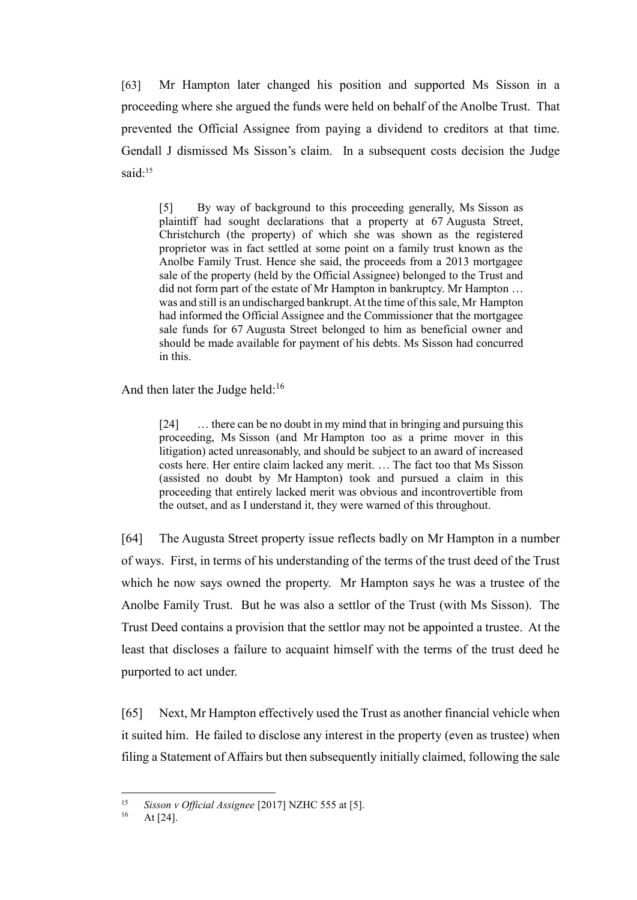[63] Mr Hampton later changed his position and supported Ms Sisson in a proceeding where she argued the funds were held on behalf of the Anolbe Trust. That prevented the Official Assignee from paying a dividend to creditors at that time. Gendall J dismissed Ms Sisson's claim. In a subsequent costs decision the Judge said:<sup>15</sup>

[5] By way of background to this proceeding generally, Ms Sisson as plaintiff had sought declarations that a property at 67 Augusta Street, Christchurch (the property) of which she was shown as the registered proprietor was in fact settled at some point on a family trust known as the Anolbe Family Trust. Hence she said, the proceeds from a 2013 mortgagee sale of the property (held by the Official Assignee) belonged to the Trust and did not form part of the estate of Mr Hampton in bankruptcy. Mr Hampton … was and still is an undischarged bankrupt. At the time of this sale, Mr Hampton had informed the Official Assignee and the Commissioner that the mortgagee sale funds for 67 Augusta Street belonged to him as beneficial owner and should be made available for payment of his debts. Ms Sisson had concurred in this.

And then later the Judge held: $16$ 

[24] ... there can be no doubt in my mind that in bringing and pursuing this proceeding, Ms Sisson (and Mr Hampton too as a prime mover in this litigation) acted unreasonably, and should be subject to an award of increased costs here. Her entire claim lacked any merit. … The fact too that Ms Sisson (assisted no doubt by Mr Hampton) took and pursued a claim in this proceeding that entirely lacked merit was obvious and incontrovertible from the outset, and as I understand it, they were warned of this throughout.

[64] The Augusta Street property issue reflects badly on Mr Hampton in a number of ways. First, in terms of his understanding of the terms of the trust deed of the Trust which he now says owned the property. Mr Hampton says he was a trustee of the Anolbe Family Trust. But he was also a settlor of the Trust (with Ms Sisson). The Trust Deed contains a provision that the settlor may not be appointed a trustee. At the least that discloses a failure to acquaint himself with the terms of the trust deed he purported to act under.

[65] Next, Mr Hampton effectively used the Trust as another financial vehicle when it suited him. He failed to disclose any interest in the property (even as trustee) when filing a Statement of Affairs but then subsequently initially claimed, following the sale

 $15$ <sup>15</sup> *Sisson v Official Assignee* [2017] NZHC 555 at [5].

At  $[24]$ .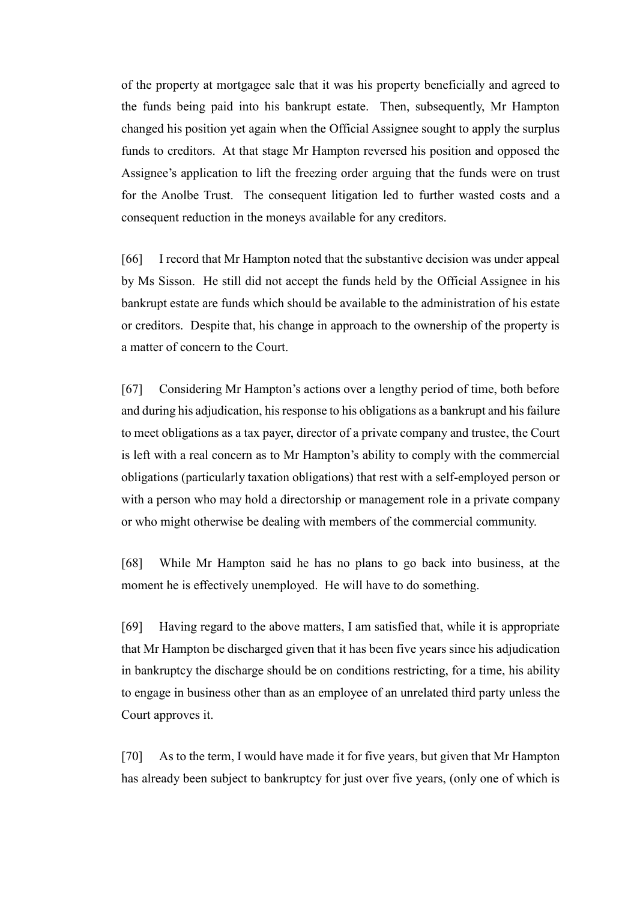of the property at mortgagee sale that it was his property beneficially and agreed to the funds being paid into his bankrupt estate. Then, subsequently, Mr Hampton changed his position yet again when the Official Assignee sought to apply the surplus funds to creditors. At that stage Mr Hampton reversed his position and opposed the Assignee's application to lift the freezing order arguing that the funds were on trust for the Anolbe Trust. The consequent litigation led to further wasted costs and a consequent reduction in the moneys available for any creditors.

[66] I record that Mr Hampton noted that the substantive decision was under appeal by Ms Sisson. He still did not accept the funds held by the Official Assignee in his bankrupt estate are funds which should be available to the administration of his estate or creditors. Despite that, his change in approach to the ownership of the property is a matter of concern to the Court.

[67] Considering Mr Hampton's actions over a lengthy period of time, both before and during his adjudication, his response to his obligations as a bankrupt and his failure to meet obligations as a tax payer, director of a private company and trustee, the Court is left with a real concern as to Mr Hampton's ability to comply with the commercial obligations (particularly taxation obligations) that rest with a self-employed person or with a person who may hold a directorship or management role in a private company or who might otherwise be dealing with members of the commercial community.

[68] While Mr Hampton said he has no plans to go back into business, at the moment he is effectively unemployed. He will have to do something.

[69] Having regard to the above matters, I am satisfied that, while it is appropriate that Mr Hampton be discharged given that it has been five years since his adjudication in bankruptcy the discharge should be on conditions restricting, for a time, his ability to engage in business other than as an employee of an unrelated third party unless the Court approves it.

[70] As to the term, I would have made it for five years, but given that Mr Hampton has already been subject to bankruptcy for just over five years, (only one of which is